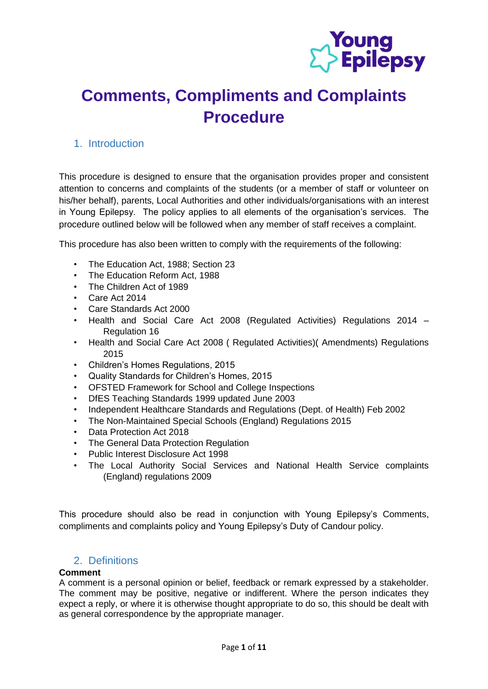

# **Comments, Compliments and Complaints Procedure**

# 1. Introduction

This procedure is designed to ensure that the organisation provides proper and consistent attention to concerns and complaints of the students (or a member of staff or volunteer on his/her behalf), parents, Local Authorities and other individuals/organisations with an interest in Young Epilepsy. The policy applies to all elements of the organisation's services. The procedure outlined below will be followed when any member of staff receives a complaint.

This procedure has also been written to comply with the requirements of the following:

- The Education Act, 1988; Section 23
- The Education Reform Act, 1988
- The Children Act of 1989
- Care Act 2014
- Care Standards Act 2000
- Health and Social Care Act 2008 (Regulated Activities) Regulations 2014 Regulation 16
- Health and Social Care Act 2008 ( Regulated Activities)( Amendments) Regulations 2015
- Children's Homes Regulations, 2015
- Quality Standards for Children's Homes, 2015
- OFSTED Framework for School and College Inspections
- DfES Teaching Standards 1999 updated June 2003
- Independent Healthcare Standards and Regulations (Dept. of Health) Feb 2002
- The Non-Maintained Special Schools (England) Regulations 2015
- Data Protection Act 2018
- The General Data Protection Regulation
- Public Interest Disclosure Act 1998
- The Local Authority Social Services and National Health Service complaints (England) regulations 2009

This procedure should also be read in conjunction with Young Epilepsy's Comments, compliments and complaints policy and Young Epilepsy's Duty of Candour policy.

# 2. Definitions

#### **Comment**

A comment is a personal opinion or belief, feedback or remark expressed by a stakeholder. The comment may be positive, negative or indifferent. Where the person indicates they expect a reply, or where it is otherwise thought appropriate to do so, this should be dealt with as general correspondence by the appropriate manager.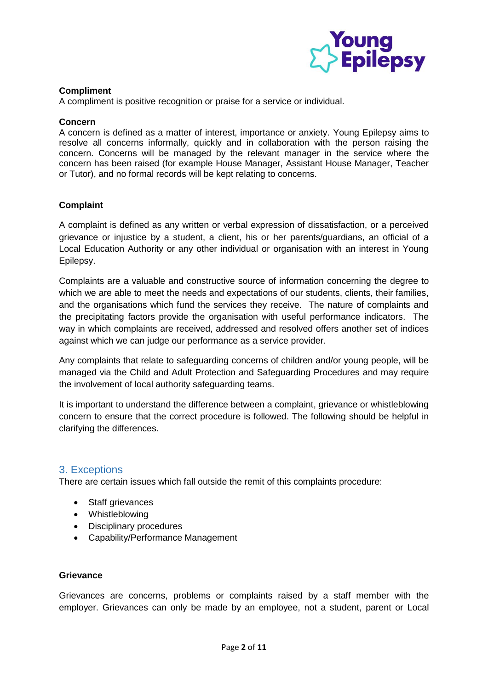

## **Compliment**

A compliment is positive recognition or praise for a service or individual.

#### **Concern**

A concern is defined as a matter of interest, importance or anxiety. Young Epilepsy aims to resolve all concerns informally, quickly and in collaboration with the person raising the concern. Concerns will be managed by the relevant manager in the service where the concern has been raised (for example House Manager, Assistant House Manager, Teacher or Tutor), and no formal records will be kept relating to concerns.

## **Complaint**

A complaint is defined as any written or verbal expression of dissatisfaction, or a perceived grievance or injustice by a student, a client, his or her parents/guardians, an official of a Local Education Authority or any other individual or organisation with an interest in Young Epilepsy.

Complaints are a valuable and constructive source of information concerning the degree to which we are able to meet the needs and expectations of our students, clients, their families, and the organisations which fund the services they receive. The nature of complaints and the precipitating factors provide the organisation with useful performance indicators. The way in which complaints are received, addressed and resolved offers another set of indices against which we can judge our performance as a service provider.

Any complaints that relate to safeguarding concerns of children and/or young people, will be managed via the Child and Adult Protection and Safeguarding Procedures and may require the involvement of local authority safeguarding teams.

It is important to understand the difference between a complaint, grievance or whistleblowing concern to ensure that the correct procedure is followed. The following should be helpful in clarifying the differences.

## 3. Exceptions

There are certain issues which fall outside the remit of this complaints procedure:

- Staff grievances
- Whistleblowing
- Disciplinary procedures
- Capability/Performance Management

#### **Grievance**

Grievances are concerns, problems or complaints raised by a staff member with the employer. Grievances can only be made by an employee, not a student, parent or Local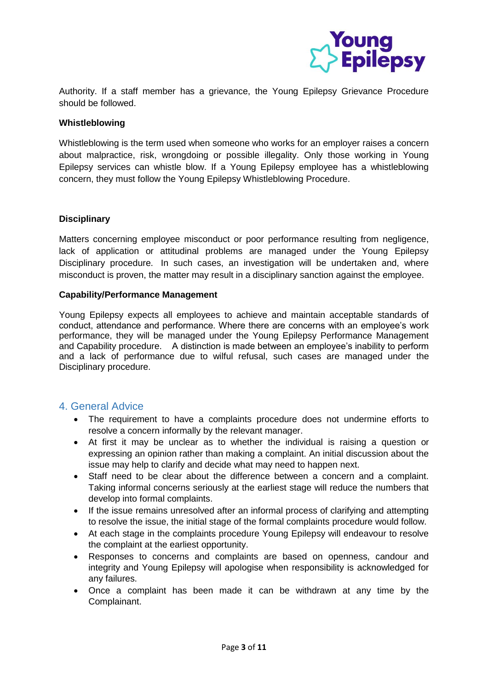

Authority. If a staff member has a grievance, the Young Epilepsy Grievance Procedure should be followed.

#### **Whistleblowing**

Whistleblowing is the term used when someone who works for an employer raises a concern about malpractice, risk, wrongdoing or possible illegality. Only those working in Young Epilepsy services can whistle blow. If a Young Epilepsy employee has a whistleblowing concern, they must follow the Young Epilepsy Whistleblowing Procedure.

#### **Disciplinary**

Matters concerning employee misconduct or poor performance resulting from negligence, lack of application or attitudinal problems are managed under the Young Epilepsy Disciplinary procedure. In such cases, an investigation will be undertaken and, where misconduct is proven, the matter may result in a disciplinary sanction against the employee.

#### **Capability/Performance Management**

Young Epilepsy expects all employees to achieve and maintain acceptable standards of conduct, attendance and performance. Where there are concerns with an employee's work performance, they will be managed under the Young Epilepsy Performance Management and Capability procedure. A distinction is made between an employee's inability to perform and a lack of performance due to wilful refusal, such cases are managed under the Disciplinary procedure.

## 4. General Advice

- The requirement to have a complaints procedure does not undermine efforts to resolve a concern informally by the relevant manager.
- At first it may be unclear as to whether the individual is raising a question or expressing an opinion rather than making a complaint. An initial discussion about the issue may help to clarify and decide what may need to happen next.
- Staff need to be clear about the difference between a concern and a complaint. Taking informal concerns seriously at the earliest stage will reduce the numbers that develop into formal complaints.
- If the issue remains unresolved after an informal process of clarifying and attempting to resolve the issue, the initial stage of the formal complaints procedure would follow.
- At each stage in the complaints procedure Young Epilepsy will endeavour to resolve the complaint at the earliest opportunity.
- Responses to concerns and complaints are based on openness, candour and integrity and Young Epilepsy will apologise when responsibility is acknowledged for any failures.
- Once a complaint has been made it can be withdrawn at any time by the Complainant.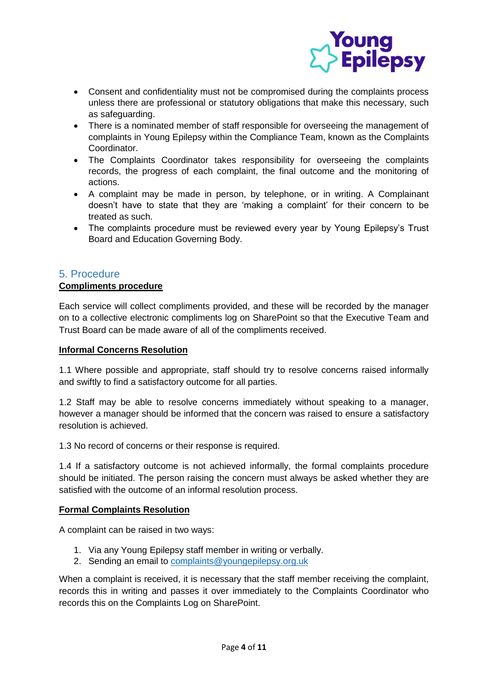

- Consent and confidentiality must not be compromised during the complaints process unless there are professional or statutory obligations that make this necessary, such as safeguarding.
- There is a nominated member of staff responsible for overseeing the management of complaints in Young Epilepsy within the Compliance Team, known as the Complaints Coordinator.
- The Complaints Coordinator takes responsibility for overseeing the complaints records, the progress of each complaint, the final outcome and the monitoring of actions.
- A complaint may be made in person, by telephone, or in writing. A Complainant doesn't have to state that they are 'making a complaint' for their concern to be treated as such.
- The complaints procedure must be reviewed every year by Young Epilepsy's Trust Board and Education Governing Body.

# 5. Procedure

## **Compliments procedure**

Each service will collect compliments provided, and these will be recorded by the manager on to a collective electronic compliments log on SharePoint so that the Executive Team and Trust Board can be made aware of all of the compliments received.

## **Informal Concerns Resolution**

1.1 Where possible and appropriate, staff should try to resolve concerns raised informally and swiftly to find a satisfactory outcome for all parties.

1.2 Staff may be able to resolve concerns immediately without speaking to a manager, however a manager should be informed that the concern was raised to ensure a satisfactory resolution is achieved.

1.3 No record of concerns or their response is required.

1.4 If a satisfactory outcome is not achieved informally, the formal complaints procedure should be initiated. The person raising the concern must always be asked whether they are satisfied with the outcome of an informal resolution process.

## **Formal Complaints Resolution**

A complaint can be raised in two ways:

- 1. Via any Young Epilepsy staff member in writing or verbally.
- 2. Sending an email to [complaints@youngepilepsy.org.uk](mailto:complaints@youngepilepsy.org.uk)

When a complaint is received, it is necessary that the staff member receiving the complaint, records this in writing and passes it over immediately to the Complaints Coordinator who records this on the Complaints Log on SharePoint.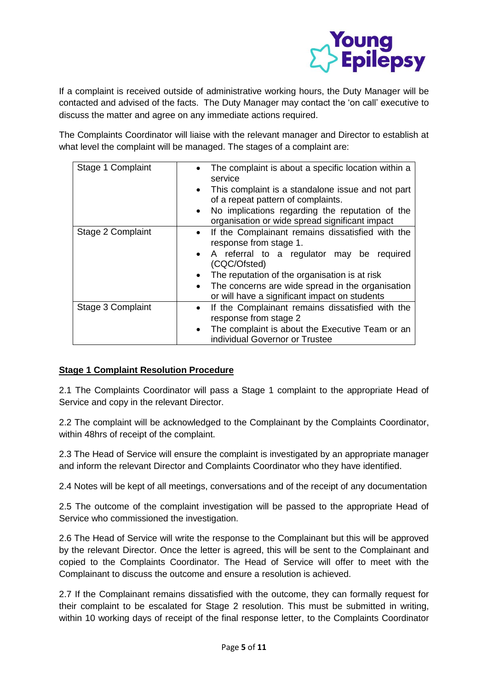

If a complaint is received outside of administrative working hours, the Duty Manager will be contacted and advised of the facts. The Duty Manager may contact the 'on call' executive to discuss the matter and agree on any immediate actions required.

The Complaints Coordinator will liaise with the relevant manager and Director to establish at what level the complaint will be managed. The stages of a complaint are:

| Stage 1 Complaint | The complaint is about a specific location within a<br>service<br>This complaint is a standalone issue and not part<br>$\bullet$<br>of a repeat pattern of complaints.<br>No implications regarding the reputation of the<br>$\bullet$<br>organisation or wide spread significant impact                                               |
|-------------------|----------------------------------------------------------------------------------------------------------------------------------------------------------------------------------------------------------------------------------------------------------------------------------------------------------------------------------------|
| Stage 2 Complaint | If the Complainant remains dissatisfied with the<br>$\bullet$<br>response from stage 1.<br>• A referral to a regulator may be required<br>(CQC/Ofsted)<br>The reputation of the organisation is at risk<br>$\bullet$<br>The concerns are wide spread in the organisation<br>$\bullet$<br>or will have a significant impact on students |
| Stage 3 Complaint | If the Complainant remains dissatisfied with the<br>$\bullet$<br>response from stage 2<br>The complaint is about the Executive Team or an<br>$\bullet$<br>individual Governor or Trustee                                                                                                                                               |

# **Stage 1 Complaint Resolution Procedure**

2.1 The Complaints Coordinator will pass a Stage 1 complaint to the appropriate Head of Service and copy in the relevant Director.

2.2 The complaint will be acknowledged to the Complainant by the Complaints Coordinator, within 48hrs of receipt of the complaint.

2.3 The Head of Service will ensure the complaint is investigated by an appropriate manager and inform the relevant Director and Complaints Coordinator who they have identified.

2.4 Notes will be kept of all meetings, conversations and of the receipt of any documentation

2.5 The outcome of the complaint investigation will be passed to the appropriate Head of Service who commissioned the investigation.

2.6 The Head of Service will write the response to the Complainant but this will be approved by the relevant Director. Once the letter is agreed, this will be sent to the Complainant and copied to the Complaints Coordinator. The Head of Service will offer to meet with the Complainant to discuss the outcome and ensure a resolution is achieved.

2.7 If the Complainant remains dissatisfied with the outcome, they can formally request for their complaint to be escalated for Stage 2 resolution. This must be submitted in writing, within 10 working days of receipt of the final response letter, to the Complaints Coordinator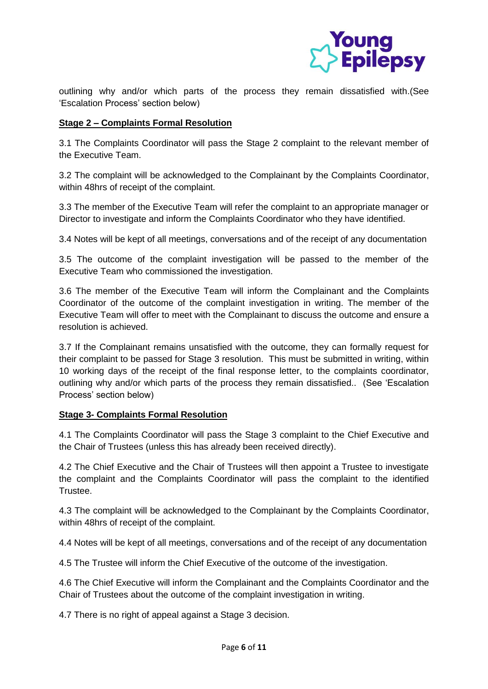

outlining why and/or which parts of the process they remain dissatisfied with.(See 'Escalation Process' section below)

## **Stage 2 – Complaints Formal Resolution**

3.1 The Complaints Coordinator will pass the Stage 2 complaint to the relevant member of the Executive Team.

3.2 The complaint will be acknowledged to the Complainant by the Complaints Coordinator, within 48hrs of receipt of the complaint.

3.3 The member of the Executive Team will refer the complaint to an appropriate manager or Director to investigate and inform the Complaints Coordinator who they have identified.

3.4 Notes will be kept of all meetings, conversations and of the receipt of any documentation

3.5 The outcome of the complaint investigation will be passed to the member of the Executive Team who commissioned the investigation.

3.6 The member of the Executive Team will inform the Complainant and the Complaints Coordinator of the outcome of the complaint investigation in writing. The member of the Executive Team will offer to meet with the Complainant to discuss the outcome and ensure a resolution is achieved.

3.7 If the Complainant remains unsatisfied with the outcome, they can formally request for their complaint to be passed for Stage 3 resolution. This must be submitted in writing, within 10 working days of the receipt of the final response letter, to the complaints coordinator, outlining why and/or which parts of the process they remain dissatisfied.. (See 'Escalation Process' section below)

## **Stage 3- Complaints Formal Resolution**

4.1 The Complaints Coordinator will pass the Stage 3 complaint to the Chief Executive and the Chair of Trustees (unless this has already been received directly).

4.2 The Chief Executive and the Chair of Trustees will then appoint a Trustee to investigate the complaint and the Complaints Coordinator will pass the complaint to the identified Trustee.

4.3 The complaint will be acknowledged to the Complainant by the Complaints Coordinator, within 48hrs of receipt of the complaint.

4.4 Notes will be kept of all meetings, conversations and of the receipt of any documentation

4.5 The Trustee will inform the Chief Executive of the outcome of the investigation.

4.6 The Chief Executive will inform the Complainant and the Complaints Coordinator and the Chair of Trustees about the outcome of the complaint investigation in writing.

4.7 There is no right of appeal against a Stage 3 decision.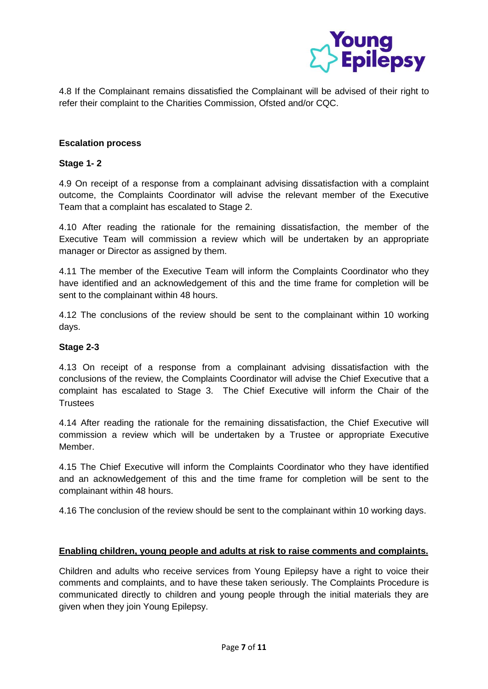

4.8 If the Complainant remains dissatisfied the Complainant will be advised of their right to refer their complaint to the Charities Commission, Ofsted and/or CQC.

## **Escalation process**

## **Stage 1- 2**

4.9 On receipt of a response from a complainant advising dissatisfaction with a complaint outcome, the Complaints Coordinator will advise the relevant member of the Executive Team that a complaint has escalated to Stage 2.

4.10 After reading the rationale for the remaining dissatisfaction, the member of the Executive Team will commission a review which will be undertaken by an appropriate manager or Director as assigned by them.

4.11 The member of the Executive Team will inform the Complaints Coordinator who they have identified and an acknowledgement of this and the time frame for completion will be sent to the complainant within 48 hours.

4.12 The conclusions of the review should be sent to the complainant within 10 working days.

#### **Stage 2-3**

4.13 On receipt of a response from a complainant advising dissatisfaction with the conclusions of the review, the Complaints Coordinator will advise the Chief Executive that a complaint has escalated to Stage 3. The Chief Executive will inform the Chair of the **Trustees** 

4.14 After reading the rationale for the remaining dissatisfaction, the Chief Executive will commission a review which will be undertaken by a Trustee or appropriate Executive Member.

4.15 The Chief Executive will inform the Complaints Coordinator who they have identified and an acknowledgement of this and the time frame for completion will be sent to the complainant within 48 hours.

4.16 The conclusion of the review should be sent to the complainant within 10 working days.

#### **Enabling children, young people and adults at risk to raise comments and complaints.**

Children and adults who receive services from Young Epilepsy have a right to voice their comments and complaints, and to have these taken seriously. The Complaints Procedure is communicated directly to children and young people through the initial materials they are given when they join Young Epilepsy.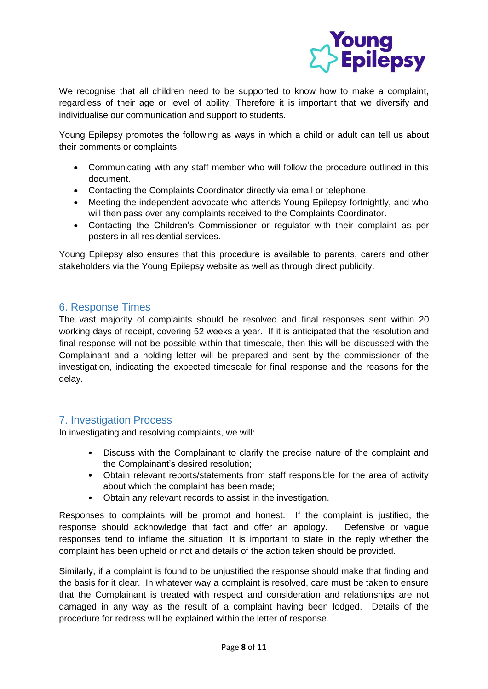

We recognise that all children need to be supported to know how to make a complaint, regardless of their age or level of ability. Therefore it is important that we diversify and individualise our communication and support to students.

Young Epilepsy promotes the following as ways in which a child or adult can tell us about their comments or complaints:

- Communicating with any staff member who will follow the procedure outlined in this document.
- Contacting the Complaints Coordinator directly via email or telephone.
- Meeting the independent advocate who attends Young Epilepsy fortnightly, and who will then pass over any complaints received to the Complaints Coordinator.
- Contacting the Children's Commissioner or regulator with their complaint as per posters in all residential services.

Young Epilepsy also ensures that this procedure is available to parents, carers and other stakeholders via the Young Epilepsy website as well as through direct publicity.

# 6. Response Times

The vast majority of complaints should be resolved and final responses sent within 20 working days of receipt, covering 52 weeks a year. If it is anticipated that the resolution and final response will not be possible within that timescale, then this will be discussed with the Complainant and a holding letter will be prepared and sent by the commissioner of the investigation, indicating the expected timescale for final response and the reasons for the delay.

# 7. Investigation Process

In investigating and resolving complaints, we will:

- Discuss with the Complainant to clarify the precise nature of the complaint and the Complainant's desired resolution;
- Obtain relevant reports/statements from staff responsible for the area of activity about which the complaint has been made;
- Obtain any relevant records to assist in the investigation.

Responses to complaints will be prompt and honest. If the complaint is justified, the response should acknowledge that fact and offer an apology. Defensive or vague responses tend to inflame the situation. It is important to state in the reply whether the complaint has been upheld or not and details of the action taken should be provided.

Similarly, if a complaint is found to be unjustified the response should make that finding and the basis for it clear. In whatever way a complaint is resolved, care must be taken to ensure that the Complainant is treated with respect and consideration and relationships are not damaged in any way as the result of a complaint having been lodged. Details of the procedure for redress will be explained within the letter of response.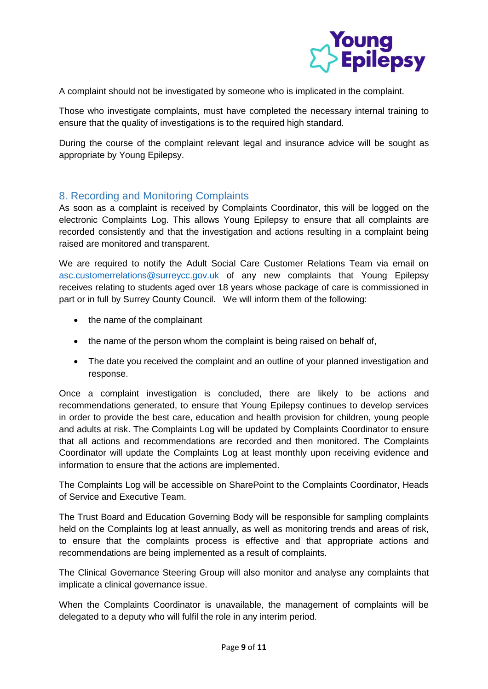

A complaint should not be investigated by someone who is implicated in the complaint.

Those who investigate complaints, must have completed the necessary internal training to ensure that the quality of investigations is to the required high standard.

During the course of the complaint relevant legal and insurance advice will be sought as appropriate by Young Epilepsy.

# 8. Recording and Monitoring Complaints

As soon as a complaint is received by Complaints Coordinator, this will be logged on the electronic Complaints Log. This allows Young Epilepsy to ensure that all complaints are recorded consistently and that the investigation and actions resulting in a complaint being raised are monitored and transparent.

We are required to notify the Adult Social Care Customer Relations Team via email on asc.customerrelations@surreycc.gov.uk of any new complaints that Young Epilepsy receives relating to students aged over 18 years whose package of care is commissioned in part or in full by Surrey County Council. We will inform them of the following:

- the name of the complainant
- the name of the person whom the complaint is being raised on behalf of,
- The date you received the complaint and an outline of your planned investigation and response.

Once a complaint investigation is concluded, there are likely to be actions and recommendations generated, to ensure that Young Epilepsy continues to develop services in order to provide the best care, education and health provision for children, young people and adults at risk. The Complaints Log will be updated by Complaints Coordinator to ensure that all actions and recommendations are recorded and then monitored. The Complaints Coordinator will update the Complaints Log at least monthly upon receiving evidence and information to ensure that the actions are implemented.

The Complaints Log will be accessible on SharePoint to the Complaints Coordinator, Heads of Service and Executive Team.

The Trust Board and Education Governing Body will be responsible for sampling complaints held on the Complaints log at least annually, as well as monitoring trends and areas of risk, to ensure that the complaints process is effective and that appropriate actions and recommendations are being implemented as a result of complaints.

The Clinical Governance Steering Group will also monitor and analyse any complaints that implicate a clinical governance issue.

When the Complaints Coordinator is unavailable, the management of complaints will be delegated to a deputy who will fulfil the role in any interim period.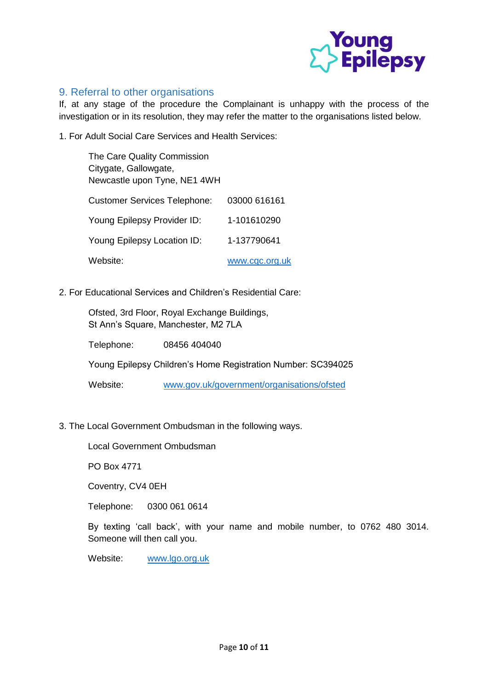

# 9. Referral to other organisations

If, at any stage of the procedure the Complainant is unhappy with the process of the investigation or in its resolution, they may refer the matter to the organisations listed below.

1. For Adult Social Care Services and Health Services:

| The Care Quality Commission<br>Citygate, Gallowgate,<br>Newcastle upon Tyne, NE1 4WH |                |
|--------------------------------------------------------------------------------------|----------------|
| <b>Customer Services Telephone:</b>                                                  | 03000 616161   |
| Young Epilepsy Provider ID:                                                          | 1-101610290    |
| Young Epilepsy Location ID:                                                          | 1-137790641    |
| Website:                                                                             | www.cgc.org.uk |

2. For Educational Services and Children's Residential Care:

Ofsted, 3rd Floor, Royal Exchange Buildings, St Ann's Square, Manchester, M2 7LA

Telephone: 08456 404040

Young Epilepsy Children's Home Registration Number: SC394025

Website: [www.gov.uk/government/organisations/ofsted](http://www.gov.uk/government/organisations/ofsted)

3. The Local Government Ombudsman in the following ways.

Local Government Ombudsman

PO Box 4771

Coventry, CV4 0EH

Telephone: 0300 061 0614

By texting 'call back', with your name and mobile number, to 0762 480 3014. Someone will then call you.

Website: [www.lgo.org.uk](http://www.lgo.org.uk/)